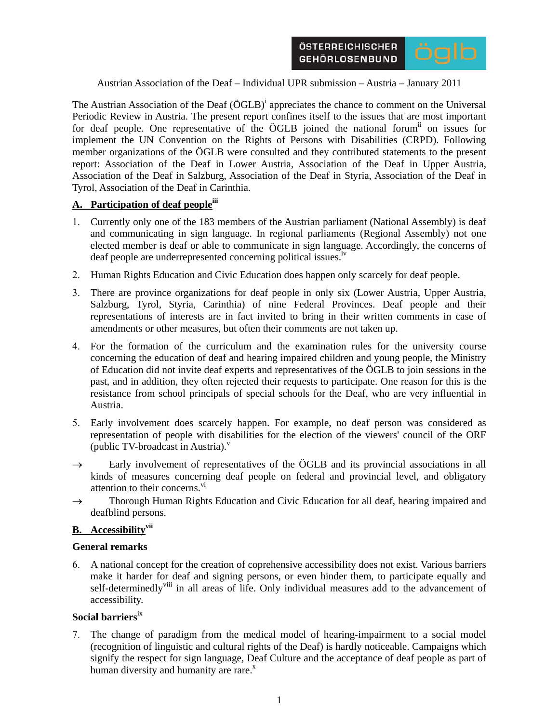

Austrian Association of the Deaf – Individual UPR submission – Austria – January 2011

The Austrian Association of the Deaf  $(\ddot{O}GLB)^{i}$  appreciates the chance to comment on the Universal Periodic Review in Austria. The present report confines itself to the issues that are most important for deaf people. One representative of the ÖGLB joined the national forum<sup>ii</sup> on issues for implement the UN Convention on the Rights of Persons with Disabilities (CRPD). Following member organizations of the ÖGLB were consulted and they contributed statements to the present report: Association of the Deaf in Lower Austria, Association of the Deaf in Upper Austria, Association of the Deaf in Salzburg, Association of the Deaf in Styria, Association of the Deaf in Tyrol, Association of the Deaf in Carinthia.

### A. Participation of deaf people<sup>iii</sup>

- 1. Currently only one of the 183 members of the Austrian parliament (National Assembly) is deaf and communicating in sign language. In regional parliaments (Regional Assembly) not one elected member is deaf or able to communicate in sign language. Accordingly, the concerns of deaf people are underrepresented concerning political issues.<sup>iv</sup>
- 2. Human Rights Education and Civic Education does happen only scarcely for deaf people.
- 3. There are province organizations for deaf people in only six (Lower Austria, Upper Austria, Salzburg, Tyrol, Styria, Carinthia) of nine Federal Provinces. Deaf people and their representations of interests are in fact invited to bring in their written comments in case of amendments or other measures, but often their comments are not taken up.
- 4. For the formation of the curriculum and the examination rules for the university course concerning the education of deaf and hearing impaired children and young people, the Ministry of Education did not invite deaf experts and representatives of the ÖGLB to join sessions in the past, and in addition, they often rejected their requests to participate. One reason for this is the resistance from school principals of special schools for the Deaf, who are very influential in Austria.
- 5. Early involvement does scarcely happen. For example, no deaf person was considered as representation of people with disabilities for the election of the viewers' council of the ORF (public TV-broadcast in Austria). $v$
- $\rightarrow$  Early involvement of representatives of the ÖGLB and its provincial associations in all kinds of measures concerning deaf people on federal and provincial level, and obligatory attention to their concerns.<sup>vi</sup>
- $\rightarrow$  Thorough Human Rights Education and Civic Education for all deaf, hearing impaired and deafblind persons.

# **B.** Accessibility<sup>vii</sup>

#### **General remarks**

6. A national concept for the creation of coprehensive accessibility does not exist. Various barriers make it harder for deaf and signing persons, or even hinder them, to participate equally and self-determinedly<sup>viii</sup> in all areas of life. Only individual measures add to the advancement of accessibility.

### **Social barriers**ix

7. The change of paradigm from the medical model of hearing-impairment to a social model (recognition of linguistic and cultural rights of the Deaf) is hardly noticeable. Campaigns which signify the respect for sign language, Deaf Culture and the acceptance of deaf people as part of human diversity and humanity are rare. $x$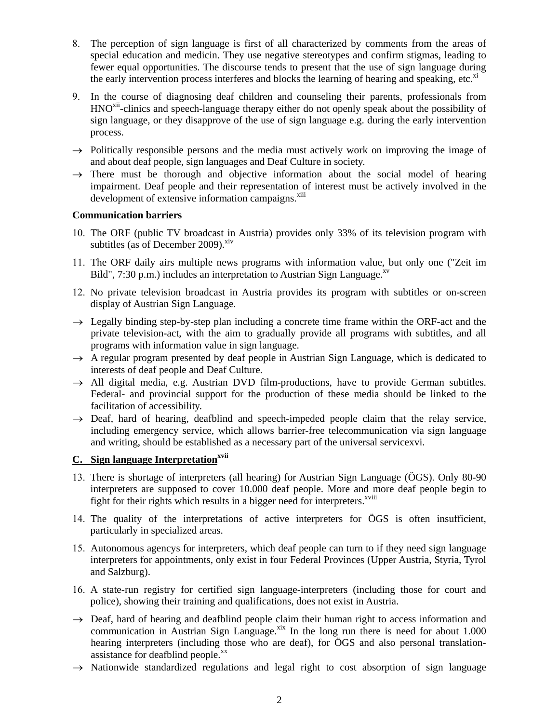- 8. The perception of sign language is first of all characterized by comments from the areas of special education and medicin. They use negative stereotypes and confirm stigmas, leading to fewer equal opportunities. The discourse tends to present that the use of sign language during the early intervention process interferes and blocks the learning of hearing and speaking, etc.<sup>xi</sup>
- 9. In the course of diagnosing deaf children and counseling their parents, professionals from HNO<sup>xii</sup>-clinics and speech-language therapy either do not openly speak about the possibility of sign language, or they disapprove of the use of sign language e.g. during the early intervention process.
- $\rightarrow$  Politically responsible persons and the media must actively work on improving the image of and about deaf people, sign languages and Deaf Culture in society.
- $\rightarrow$  There must be thorough and objective information about the social model of hearing impairment. Deaf people and their representation of interest must be actively involved in the development of extensive information campaigns.<sup>xiii</sup>

### **Communication barriers**

- 10. The ORF (public TV broadcast in Austria) provides only 33% of its television program with subtitles (as of December 2009). $x$ iv
- 11. The ORF daily airs multiple news programs with information value, but only one ("Zeit im Bild", 7:30 p.m.) includes an interpretation to Austrian Sign Language. $x<sup>v</sup>$
- 12. No private television broadcast in Austria provides its program with subtitles or on-screen display of Austrian Sign Language.
- $\rightarrow$  Legally binding step-by-step plan including a concrete time frame within the ORF-act and the private television-act, with the aim to gradually provide all programs with subtitles, and all programs with information value in sign language.
- $\rightarrow$  A regular program presented by deaf people in Austrian Sign Language, which is dedicated to interests of deaf people and Deaf Culture.
- $\rightarrow$  All digital media, e.g. Austrian DVD film-productions, have to provide German subtitles. Federal- and provincial support for the production of these media should be linked to the facilitation of accessibility.
- $\rightarrow$  Deaf, hard of hearing, deafblind and speech-impeded people claim that the relay service, including emergency service, which allows barrier-free telecommunication via sign language and writing, should be established as a necessary part of the universal servicexvi.

# **C.** Sign language Interpretation<sup>xvii</sup>

- 13. There is shortage of interpreters (all hearing) for Austrian Sign Language (ÖGS). Only 80-90 interpreters are supposed to cover 10.000 deaf people. More and more deaf people begin to fight for their rights which results in a bigger need for interpreters.<sup>xviii</sup>
- 14. The quality of the interpretations of active interpreters for ÖGS is often insufficient, particularly in specialized areas.
- 15. Autonomous agencys for interpreters, which deaf people can turn to if they need sign language interpreters for appointments, only exist in four Federal Provinces (Upper Austria, Styria, Tyrol and Salzburg).
- 16. A state-run registry for certified sign language-interpreters (including those for court and police), showing their training and qualifications, does not exist in Austria.
- $\rightarrow$  Deaf, hard of hearing and deafblind people claim their human right to access information and communication in Austrian Sign Language.<sup>xix</sup> In the long run there is need for about 1.000 hearing interpreters (including those who are deaf), for ÖGS and also personal translationassistance for deafblind people.<sup>xx</sup>
- $\rightarrow$  Nationwide standardized regulations and legal right to cost absorption of sign language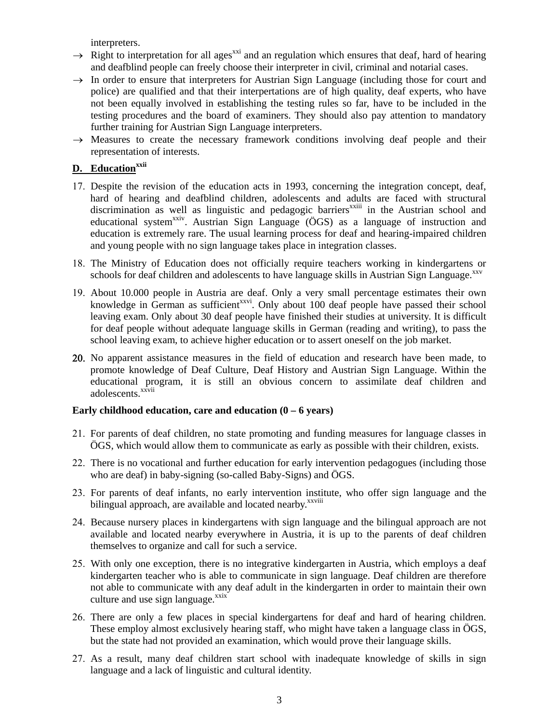interpreters.

- $\rightarrow$  Right to interpretation for all ages<sup>xxi</sup> and an regulation which ensures that deaf, hard of hearing and deafblind people can freely choose their interpreter in civil, criminal and notarial cases.
- $\rightarrow$  In order to ensure that interpreters for Austrian Sign Language (including those for court and police) are qualified and that their interpertations are of high quality, deaf experts, who have not been equally involved in establishing the testing rules so far, have to be included in the testing procedures and the board of examiners. They should also pay attention to mandatory further training for Austrian Sign Language interpreters.
- $\rightarrow$  Measures to create the necessary framework conditions involving deaf people and their representation of interests.

# **D.** Education<sup>xxii</sup>

- 17. Despite the revision of the education acts in 1993, concerning the integration concept, deaf, hard of hearing and deafblind children, adolescents and adults are faced with structural discrimination as well as linguistic and pedagogic barriers<sup>xxiii</sup> in the Austrian school and educational system<sup>xxiv</sup>. Austrian Sign Language (ÖGS) as a language of instruction and education is extremely rare. The usual learning process for deaf and hearing-impaired children and young people with no sign language takes place in integration classes.
- 18. The Ministry of Education does not officially require teachers working in kindergartens or schools for deaf children and adolescents to have language skills in Austrian Sign Language.<sup>xxv</sup>
- 19. About 10.000 people in Austria are deaf. Only a very small percentage estimates their own knowledge in German as sufficient<sup>xxvi</sup>. Only about 100 deaf people have passed their school leaving exam. Only about 30 deaf people have finished their studies at university. It is difficult for deaf people without adequate language skills in German (reading and writing), to pass the school leaving exam, to achieve higher education or to assert oneself on the job market.
- 20. No apparent assistance measures in the field of education and research have been made, to promote knowledge of Deaf Culture, Deaf History and Austrian Sign Language. Within the educational program, it is still an obvious concern to assimilate deaf children and adolescents.<sup>xxvii</sup>

### **Early childhood education, care and education (0 – 6 years)**

- 21. For parents of deaf children, no state promoting and funding measures for language classes in ÖGS, which would allow them to communicate as early as possible with their children, exists.
- 22. There is no vocational and further education for early intervention pedagogues (including those who are deaf) in baby-signing (so-called Baby-Signs) and ÖGS.
- 23. For parents of deaf infants, no early intervention institute, who offer sign language and the bilingual approach, are available and located nearby.<sup>xxviii</sup>
- 24. Because nursery places in kindergartens with sign language and the bilingual approach are not available and located nearby everywhere in Austria, it is up to the parents of deaf children themselves to organize and call for such a service.
- 25. With only one exception, there is no integrative kindergarten in Austria, which employs a deaf kindergarten teacher who is able to communicate in sign language. Deaf children are therefore not able to communicate with any deaf adult in the kindergarten in order to maintain their own culture and use sign language.<sup>xxix</sup>
- 26. There are only a few places in special kindergartens for deaf and hard of hearing children. These employ almost exclusively hearing staff, who might have taken a language class in ÖGS, but the state had not provided an examination, which would prove their language skills.
- 27. As a result, many deaf children start school with inadequate knowledge of skills in sign language and a lack of linguistic and cultural identity.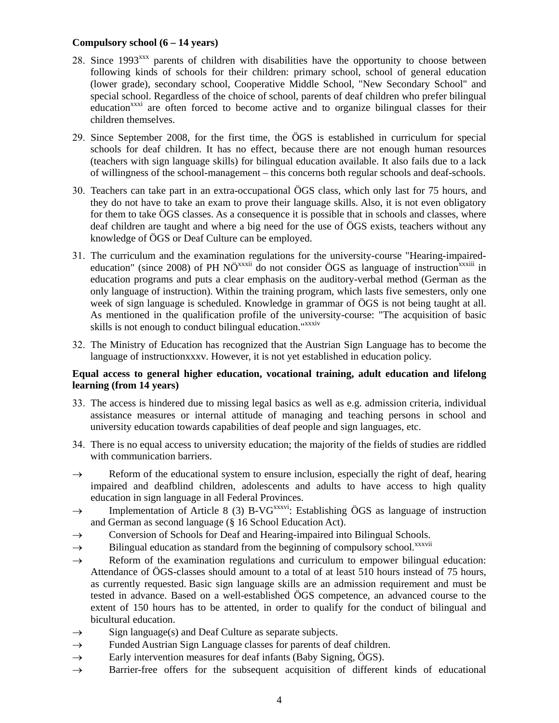## **Compulsory school (6 – 14 years)**

- 28. Since 1993<sup>xxx</sup> parents of children with disabilities have the opportunity to choose between following kinds of schools for their children: primary school, school of general education (lower grade), secondary school, Cooperative Middle School, "New Secondary School" and special school. Regardless of the choice of school, parents of deaf children who prefer bilingual education<sup>xxxi</sup> are often forced to become active and to organize bilingual classes for their children themselves.
- 29. Since September 2008, for the first time, the ÖGS is established in curriculum for special schools for deaf children. It has no effect, because there are not enough human resources (teachers with sign language skills) for bilingual education available. It also fails due to a lack of willingness of the school-management – this concerns both regular schools and deaf-schools.
- 30. Teachers can take part in an extra-occupational ÖGS class, which only last for 75 hours, and they do not have to take an exam to prove their language skills. Also, it is not even obligatory for them to take ÖGS classes. As a consequence it is possible that in schools and classes, where deaf children are taught and where a big need for the use of ÖGS exists, teachers without any knowledge of ÖGS or Deaf Culture can be employed.
- 31. The curriculum and the examination regulations for the university-course "Hearing-impairededucation" (since 2008) of PH NÖ<sup>xxxii</sup> do not consider ÖGS as language of instruction<sup>xxxiii</sup> in education programs and puts a clear emphasis on the auditory-verbal method (German as the only language of instruction). Within the training program, which lasts five semesters, only one week of sign language is scheduled. Knowledge in grammar of ÖGS is not being taught at all. As mentioned in the qualification profile of the university-course: "The acquisition of basic skills is not enough to conduct bilingual education."<sup>xxxiv</sup>
- 32. The Ministry of Education has recognized that the Austrian Sign Language has to become the language of instructionxxxv. However, it is not yet established in education policy.

### **Equal access to general higher education, vocational training, adult education and lifelong learning (from 14 years)**

- 33. The access is hindered due to missing legal basics as well as e.g. admission criteria, individual assistance measures or internal attitude of managing and teaching persons in school and university education towards capabilities of deaf people and sign languages, etc.
- 34. There is no equal access to university education; the majority of the fields of studies are riddled with communication barriers.
- $\rightarrow$  Reform of the educational system to ensure inclusion, especially the right of deaf, hearing impaired and deafblind children, adolescents and adults to have access to high quality education in sign language in all Federal Provinces.
- $\rightarrow$  Implementation of Article 8 (3) B-VG<sup>xxxvi</sup>: Establishing ÖGS as language of instruction and German as second language (§ 16 School Education Act).
- $\rightarrow$  Conversion of Schools for Deaf and Hearing-impaired into Bilingual Schools.
- $\rightarrow$  Bilingual education as standard from the beginning of compulsory school.<sup>xxxvii</sup>
- $\rightarrow$  Reform of the examination regulations and curriculum to empower bilingual education: Attendance of ÖGS-classes should amount to a total of at least 510 hours instead of 75 hours, as currently requested. Basic sign language skills are an admission requirement and must be tested in advance. Based on a well-established ÖGS competence, an advanced course to the extent of 150 hours has to be attented, in order to qualify for the conduct of bilingual and bicultural education.
- $\rightarrow$  Sign language(s) and Deaf Culture as separate subjects.
- $\rightarrow$  Funded Austrian Sign Language classes for parents of deaf children.
- $\rightarrow$  Early intervention measures for deaf infants (Baby Signing, ÖGS).
- $\rightarrow$  Barrier-free offers for the subsequent acquisition of different kinds of educational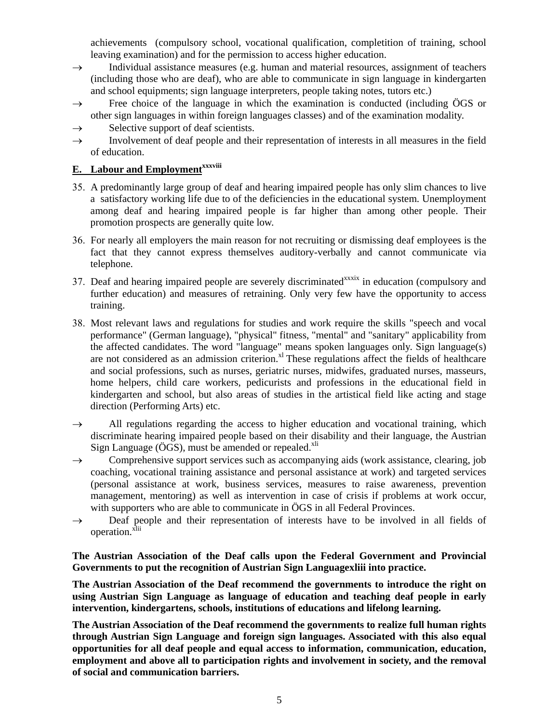achievements (compulsory school, vocational qualification, completition of training, school leaving examination) and for the permission to access higher education.

- $\rightarrow$  Individual assistance measures (e.g. human and material resources, assignment of teachers (including those who are deaf), who are able to communicate in sign language in kindergarten and school equipments; sign language interpreters, people taking notes, tutors etc.)
- $\rightarrow$  Free choice of the language in which the examination is conducted (including  $\ddot{\text{OGS}}$  or other sign languages in within foreign languages classes) and of the examination modality.
- $\rightarrow$  Selective support of deaf scientists.
- $\rightarrow$  Involvement of deaf people and their representation of interests in all measures in the field of education.

# **E.** Labour and Employment<sup>xxxviii</sup>

- 35. A predominantly large group of deaf and hearing impaired people has only slim chances to live a satisfactory working life due to of the deficiencies in the educational system. Unemployment among deaf and hearing impaired people is far higher than among other people. Their promotion prospects are generally quite low.
- 36. For nearly all employers the main reason for not recruiting or dismissing deaf employees is the fact that they cannot express themselves auditory-verbally and cannot communicate via telephone.
- 37. Deaf and hearing impaired people are severely discriminated<sup>xxxix</sup> in education (compulsory and further education) and measures of retraining. Only very few have the opportunity to access training.
- 38. Most relevant laws and regulations for studies and work require the skills "speech and vocal performance" (German language), "physical" fitness, "mental" and "sanitary" applicability from the affected candidates. The word "language" means spoken languages only. Sign language(s) are not considered as an admission criterion.<sup>xl</sup> These regulations affect the fields of healthcare and social professions, such as nurses, geriatric nurses, midwifes, graduated nurses, masseurs, home helpers, child care workers, pedicurists and professions in the educational field in kindergarten and school, but also areas of studies in the artistical field like acting and stage direction (Performing Arts) etc.
- $\rightarrow$  All regulations regarding the access to higher education and vocational training, which discriminate hearing impaired people based on their disability and their language, the Austrian Sign Language (ÖGS), must be amended or repealed.<sup>xli</sup>
- $\rightarrow$  Comprehensive support services such as accompanying aids (work assistance, clearing, job coaching, vocational training assistance and personal assistance at work) and targeted services (personal assistance at work, business services, measures to raise awareness, prevention management, mentoring) as well as intervention in case of crisis if problems at work occur, with supporters who are able to communicate in ÖGS in all Federal Provinces.
- $\rightarrow$  Deaf people and their representation of interests have to be involved in all fields of operation.<sup>xlii</sup>

## **The Austrian Association of the Deaf calls upon the Federal Government and Provincial Governments to put the recognition of Austrian Sign Languagexliii into practice.**

**The Austrian Association of the Deaf recommend the governments to introduce the right on using Austrian Sign Language as language of education and teaching deaf people in early intervention, kindergartens, schools, institutions of educations and lifelong learning.** 

**The Austrian Association of the Deaf recommend the governments to realize full human rights through Austrian Sign Language and foreign sign languages. Associated with this also equal opportunities for all deaf people and equal access to information, communication, education, employment and above all to participation rights and involvement in society, and the removal of social and communication barriers.**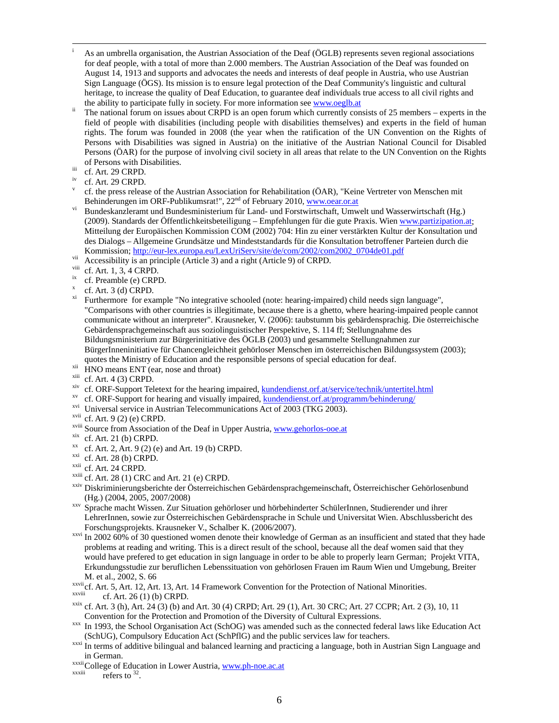- i As an umbrella organisation, the Austrian Association of the Deaf (ÖGLB) represents seven regional associations for deaf people, with a total of more than 2.000 members. The Austrian Association of the Deaf was founded on August 14, 1913 and supports and advocates the needs and interests of deaf people in Austria, who use Austrian Sign Language (ÖGS). Its mission is to ensure legal protection of the Deaf Community's linguistic and cultural heritage, to increase the quality of Deaf Education, to guarantee deaf individuals true access to all civil rights and
- the ability to participate fully in society. For more information see www.oeglb.at ii The national forum on issues about CRPD is an open forum which currently consists of 25 members experts in the field of people with disabilities (including people with disabilities themselves) and experts in the field of human rights. The forum was founded in 2008 (the year when the ratification of the UN Convention on the Rights of Persons with Disabilities was signed in Austria) on the initiative of the Austrian National Council for Disabled Persons (ÖAR) for the purpose of involving civil society in all areas that relate to the UN Convention on the Rights of Persons with Disabilities.<br>iii cf. Art. 29 CRPD.
- 
- cf. Art. 29 CRPD.
- v cf. the press release of the Austrian Association for Rehabilitation (ÖAR), "Keine Vertreter von Menschen mit<br>Behinderungen im ORF-Publikumsrat!", 22<sup>nd</sup> of February 2010, www.oear.or.at
- <sup>vi</sup> Bundeskanzleramt und Bundesministerium für Land- und Forstwirtschaft, Umwelt und Wasserwirtschaft (Hg.) (2009). Standards der Öffentlichkeitsbeteiligung – Empfehlungen für die gute Praxis. Wien www.partizipation.at; Mitteilung der Europäischen Kommission COM (2002) 704: Hin zu einer verstärkten Kultur der Konsultation und des Dialogs – Allgemeine Grundsätze und Mindeststandards für die Konsultation betroffener Parteien durch die Kommission; <u>http://eur-lex.europa.eu/LexUriServ/site/de/com/2002/com2002\_0704de01.pdf</u><br>
<sup>vii</sup> Accessibility is an principle (Article 3) and a right (Article 9) of CRPD.
- 
- 
- <sup>viii</sup> cf. Art. 1, 3, 4 CRPD.<br>ix cf. Preamble (e) CRPD.
- x  $x = \text{cf. Art. } 3 \text{ (d) CRPD.}$
- Furthermore for example "No integrative schooled (note: hearing-impaired) child needs sign language", "Comparisons with other countries is illegitimate, because there is a ghetto, where hearing-impaired people cannot communicate without an interpreter". Krausneker, V. (2006): taubstumm bis gebärdensprachig. Die österreichische Gebärdensprachgemeinschaft aus soziolinguistischer Perspektive, S. 114 ff; Stellungnahme des Bildungsministerium zur Bürgerinitiative des ÖGLB (2003) und gesammelte Stellungnahmen zur BürgerInneninitiative für Chancengleichheit gehörloser Menschen im österreichischen Bildungssystem (2003); quotes the Ministry of Education and the responsible persons of special education for deaf.<br>  $\frac{X}{N}$  HNO means ENT (ear, nose and throat)<br>  $\frac{X}{N}$  A  $\frac{A}{N}$  A  $\frac{A}{N}$  A  $\frac{A}{N}$  A  $\frac{A}{N}$  A  $\frac{A}{N}$
- 
- 
- <sup>xii</sup> cf. Art. 4 (3) CRPD.<br>
<sup>xiv</sup> cf. ORF-Support Teletext for the hearing impaired, <u>kundendienst.orf.at/service/technik/untertitel.html</u><br>
<sup>xv</sup> cf. ORF-Support for hearing and visually impaired, <u>kundendienst.orf.at/prog</u>
- 
- 
- 
- 
- 
- 
- 
- 
- 
- <sup>xxi</sup> cf. Art. 28 (b) CRPD.<br><sup>xxii</sup> cf. Art. 24 CRPD.<br><sup>xxiii</sup> cf. Art. 28 (1) CRC and Art. 21 (e) CRPD.<br><sup>xxiv</sup> Diskriminierungsberichte der Österreichischen Gebärdensprachgemeinschaft, Österreichischer Gehörlosenbund (Hg.) (2004, 2005, 2007/2008) xxv Sprache macht Wissen. Zur Situation gehörloser und hörbehinderter SchülerInnen, Studierender und ihrer
- LehrerInnen, sowie zur Österreichischen Gebärdensprache in Schule und Universitat Wien. Abschlussbericht des
- Forschungsprojekts. Krausneker V., Schalber K. (2006/2007).<br><sup>xxvi</sup> In 2002 60% of 30 questioned women denote their knowledge of German as an insufficient and stated that they hade problems at reading and writing. This is a direct result of the school, because all the deaf women said that they would have prefered to get education in sign language in order to be able to properly learn German; Projekt VITA, Erkundungsstudie zur beruflichen Lebenssituation von gehörlosen Frauen im Raum Wien und Umgebung, Breiter M. et al., 2002, S. 66<br>
xxvii cf. Art. 5, Art. 12, Art. 13, Art. 14 Framework Convention for the Protection of National Minorities.<br>
cf. Art. 26 (1) (b) CRPD.<br>
xxix cf. Art. 3 (h), Art. 24 (3) (b) and Art. 30 (4) CRPD; Art
- 
- 
- Convention for the Protection and Promotion of the Diversity of Cultural Expressions.<br>In 1993, the School Organisation Act (SchOG) was amended such as the connected federal laws like Education Act
- (SchUG), Compulsory Education Act (SchPflG) and the public services law for teachers.<br>xxxi In terms of additive bilingual and balanced learning and practicing a language, both in Austrian Sign Language and
- 
- in German.<br>
<sup>xxxii</sup> College of Education in Lower Austria, www.ph-noe.ac.at<br>
refers to <sup>32</sup>.
-